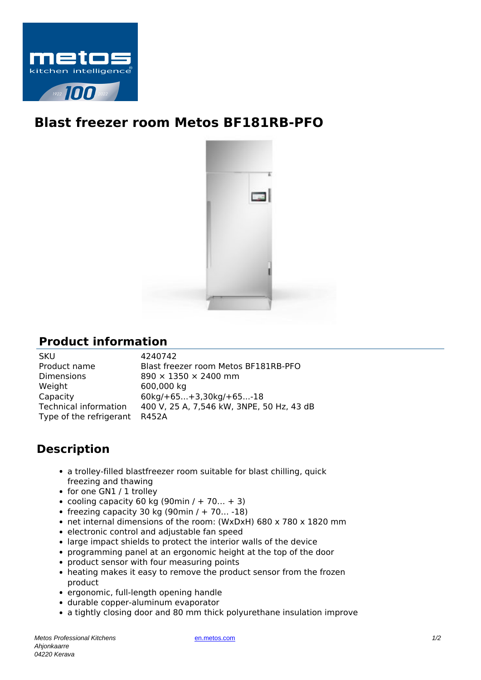

## **Blast freezer room Metos BF181RB-PFO**



## **Product information**

| 4240742<br><b>SKU</b>                                              |  |
|--------------------------------------------------------------------|--|
| Product name<br>Blast freezer room Metos BF181RB-PFO               |  |
| <b>Dimensions</b><br>890 × 1350 × 2400 mm                          |  |
| Weight<br>600,000 kg                                               |  |
| Capacity<br>$60kg/ + 65 + 3,30kg/ + 65 - 18$                       |  |
| Technical information<br>400 V, 25 A, 7,546 kW, 3NPE, 50 Hz, 43 dB |  |
| Type of the refrigerant R452A                                      |  |

## **Description**

- a trolley-filled blastfreezer room suitable for blast chilling, quick freezing and thawing
- for one GN1 / 1 trolley
- cooling capacity 60 kg (90min / + 70... + 3)
- freezing capacity 30 kg (90min  $/ + 70... -18$ )
- net internal dimensions of the room: (WxDxH) 680 x 780 x 1820 mm
- electronic control and adjustable fan speed
- large impact shields to protect the interior walls of the device
- programming panel at an ergonomic height at the top of the door
- product sensor with four measuring points
- heating makes it easy to remove the product sensor from the frozen product
- ergonomic, full-length opening handle
- durable copper-aluminum evaporator
- a tightly closing door and 80 mm thick polyurethane insulation improve